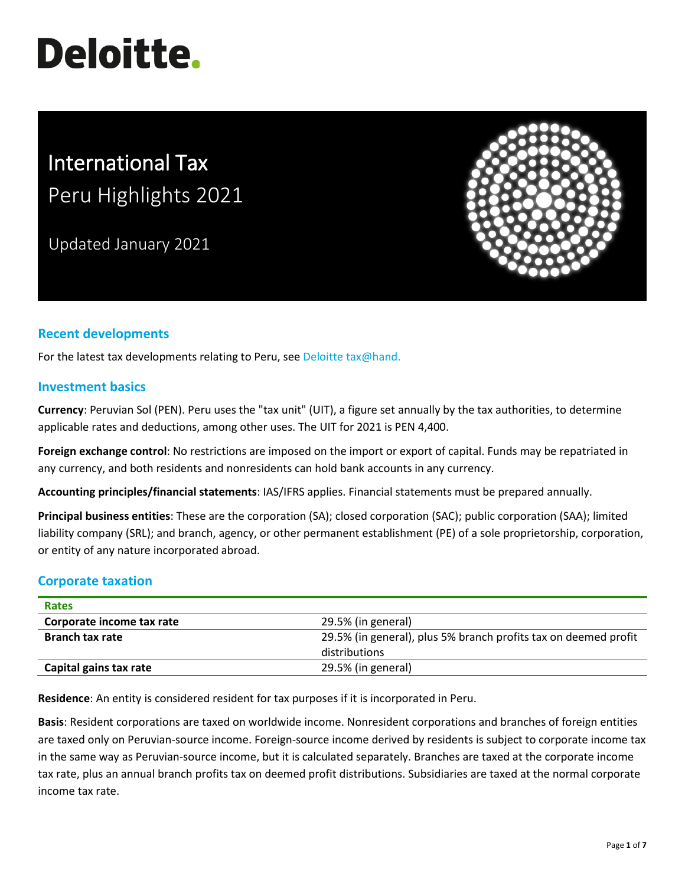# **Deloitte.**

# International Tax Peru Highlights 2021

Updated January 2021



### **Recent developments**

For the latest tax developments relating to Peru, see [Deloitte tax@hand.](https://www.taxathand.com/world-news/Peru)

#### **Investment basics**

**Currency**: Peruvian Sol (PEN). Peru uses the "tax unit" (UIT), a figure set annually by the tax authorities, to determine applicable rates and deductions, among other uses. The UIT for 2021 is PEN 4,400.

**Foreign exchange control**: No restrictions are imposed on the import or export of capital. Funds may be repatriated in any currency, and both residents and nonresidents can hold bank accounts in any currency.

**Accounting principles/financial statements**: IAS/IFRS applies. Financial statements must be prepared annually.

**Principal business entities**: These are the corporation (SA); closed corporation (SAC); public corporation (SAA); limited liability company (SRL); and branch, agency, or other permanent establishment (PE) of a sole proprietorship, corporation, or entity of any nature incorporated abroad.

## **Corporate taxation**

| <b>Rates</b>              |                                                                 |
|---------------------------|-----------------------------------------------------------------|
| Corporate income tax rate | 29.5% (in general)                                              |
| <b>Branch tax rate</b>    | 29.5% (in general), plus 5% branch profits tax on deemed profit |
|                           | distributions                                                   |
| Capital gains tax rate    | 29.5% (in general)                                              |

**Residence**: An entity is considered resident for tax purposes if it is incorporated in Peru.

**Basis**: Resident corporations are taxed on worldwide income. Nonresident corporations and branches of foreign entities are taxed only on Peruvian-source income. Foreign-source income derived by residents is subject to corporate income tax in the same way as Peruvian-source income, but it is calculated separately. Branches are taxed at the corporate income tax rate, plus an annual branch profits tax on deemed profit distributions. Subsidiaries are taxed at the normal corporate income tax rate.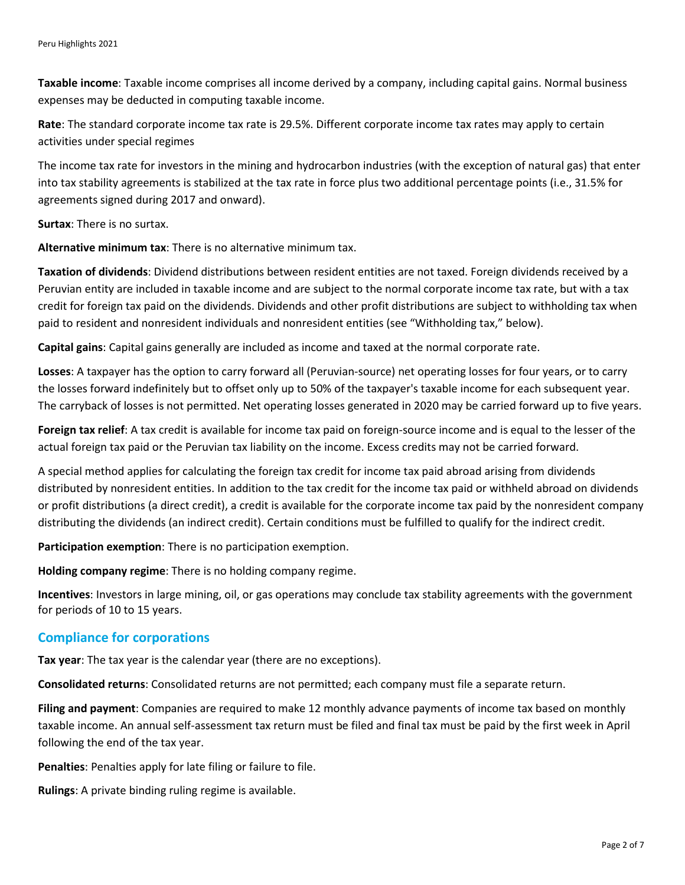**Taxable income**: Taxable income comprises all income derived by a company, including capital gains. Normal business expenses may be deducted in computing taxable income.

**Rate**: The standard corporate income tax rate is 29.5%. Different corporate income tax rates may apply to certain activities under special regimes

The income tax rate for investors in the mining and hydrocarbon industries (with the exception of natural gas) that enter into tax stability agreements is stabilized at the tax rate in force plus two additional percentage points (i.e., 31.5% for agreements signed during 2017 and onward).

**Surtax**: There is no surtax.

**Alternative minimum tax**: There is no alternative minimum tax.

**Taxation of dividends**: Dividend distributions between resident entities are not taxed. Foreign dividends received by a Peruvian entity are included in taxable income and are subject to the normal corporate income tax rate, but with a tax credit for foreign tax paid on the dividends. Dividends and other profit distributions are subject to withholding tax when paid to resident and nonresident individuals and nonresident entities (see "Withholding tax," below).

**Capital gains**: Capital gains generally are included as income and taxed at the normal corporate rate.

**Losses**: A taxpayer has the option to carry forward all (Peruvian-source) net operating losses for four years, or to carry the losses forward indefinitely but to offset only up to 50% of the taxpayer's taxable income for each subsequent year. The carryback of losses is not permitted. Net operating losses generated in 2020 may be carried forward up to five years.

**Foreign tax relief**: A tax credit is available for income tax paid on foreign-source income and is equal to the lesser of the actual foreign tax paid or the Peruvian tax liability on the income. Excess credits may not be carried forward.

A special method applies for calculating the foreign tax credit for income tax paid abroad arising from dividends distributed by nonresident entities. In addition to the tax credit for the income tax paid or withheld abroad on dividends or profit distributions (a direct credit), a credit is available for the corporate income tax paid by the nonresident company distributing the dividends (an indirect credit). Certain conditions must be fulfilled to qualify for the indirect credit.

**Participation exemption**: There is no participation exemption.

**Holding company regime**: There is no holding company regime.

**Incentives**: Investors in large mining, oil, or gas operations may conclude tax stability agreements with the government for periods of 10 to 15 years.

#### **Compliance for corporations**

**Tax year**: The tax year is the calendar year (there are no exceptions).

**Consolidated returns**: Consolidated returns are not permitted; each company must file a separate return.

**Filing and payment**: Companies are required to make 12 monthly advance payments of income tax based on monthly taxable income. An annual self-assessment tax return must be filed and final tax must be paid by the first week in April following the end of the tax year.

**Penalties**: Penalties apply for late filing or failure to file.

**Rulings**: A private binding ruling regime is available.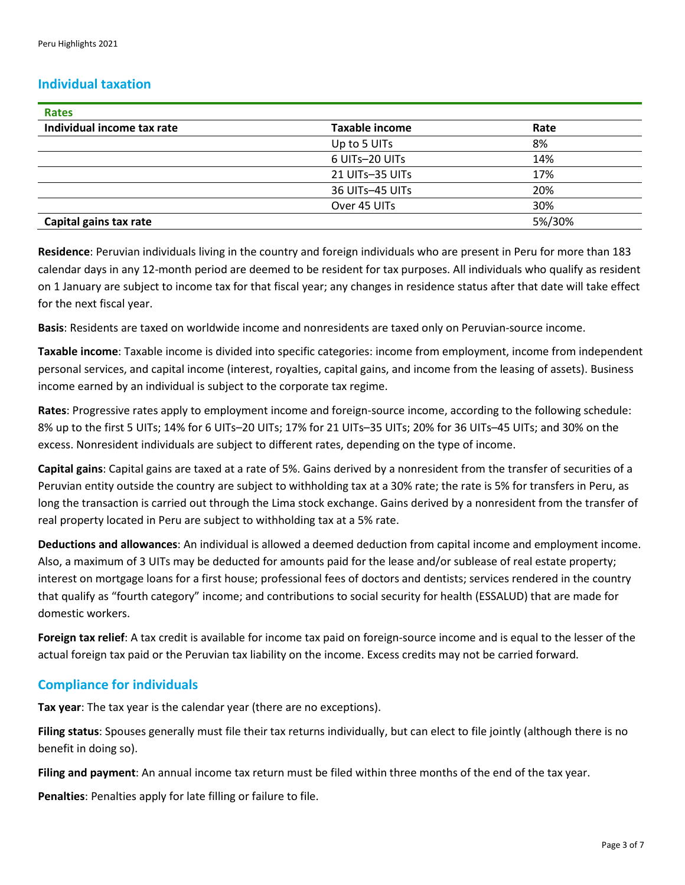#### **Individual taxation**

| <b>Rates</b>               |                       |        |
|----------------------------|-----------------------|--------|
| Individual income tax rate | <b>Taxable income</b> | Rate   |
|                            | Up to 5 UITs          | 8%     |
|                            | 6 UITs-20 UITs        | 14%    |
|                            | 21 UITs-35 UITs       | 17%    |
|                            | 36 UITs-45 UITs       | 20%    |
|                            | Over 45 UITs          | 30%    |
| Capital gains tax rate     |                       | 5%/30% |

**Residence**: Peruvian individuals living in the country and foreign individuals who are present in Peru for more than 183 calendar days in any 12-month period are deemed to be resident for tax purposes. All individuals who qualify as resident on 1 January are subject to income tax for that fiscal year; any changes in residence status after that date will take effect for the next fiscal year.

**Basis**: Residents are taxed on worldwide income and nonresidents are taxed only on Peruvian-source income.

**Taxable income**: Taxable income is divided into specific categories: income from employment, income from independent personal services, and capital income (interest, royalties, capital gains, and income from the leasing of assets). Business income earned by an individual is subject to the corporate tax regime.

**Rates**: Progressive rates apply to employment income and foreign-source income, according to the following schedule: 8% up to the first 5 UITs; 14% for 6 UITs–20 UITs; 17% for 21 UITs–35 UITs; 20% for 36 UITs–45 UITs; and 30% on the excess. Nonresident individuals are subject to different rates, depending on the type of income.

**Capital gains**: Capital gains are taxed at a rate of 5%. Gains derived by a nonresident from the transfer of securities of a Peruvian entity outside the country are subject to withholding tax at a 30% rate; the rate is 5% for transfers in Peru, as long the transaction is carried out through the Lima stock exchange. Gains derived by a nonresident from the transfer of real property located in Peru are subject to withholding tax at a 5% rate.

**Deductions and allowances**: An individual is allowed a deemed deduction from capital income and employment income. Also, a maximum of 3 UITs may be deducted for amounts paid for the lease and/or sublease of real estate property; interest on mortgage loans for a first house; professional fees of doctors and dentists; services rendered in the country that qualify as "fourth category" income; and contributions to social security for health (ESSALUD) that are made for domestic workers.

**Foreign tax relief**: A tax credit is available for income tax paid on foreign-source income and is equal to the lesser of the actual foreign tax paid or the Peruvian tax liability on the income. Excess credits may not be carried forward.

#### **Compliance for individuals**

**Tax year**: The tax year is the calendar year (there are no exceptions).

**Filing status**: Spouses generally must file their tax returns individually, but can elect to file jointly (although there is no benefit in doing so).

**Filing and payment**: An annual income tax return must be filed within three months of the end of the tax year.

**Penalties**: Penalties apply for late filling or failure to file.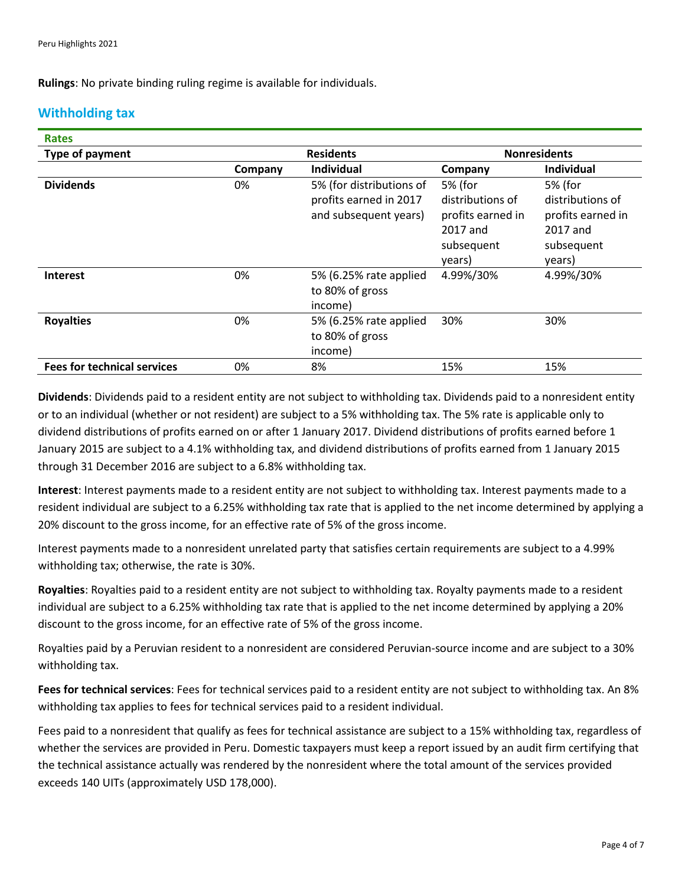**Rulings**: No private binding ruling regime is available for individuals.

#### **Withholding tax**

| <b>Rates</b>                        |         |                                                                             |                                                                                      |                                                                                      |
|-------------------------------------|---------|-----------------------------------------------------------------------------|--------------------------------------------------------------------------------------|--------------------------------------------------------------------------------------|
| Type of payment<br><b>Residents</b> |         |                                                                             | <b>Nonresidents</b>                                                                  |                                                                                      |
|                                     | Company | <b>Individual</b>                                                           | Company                                                                              | <b>Individual</b>                                                                    |
| <b>Dividends</b>                    | 0%      | 5% (for distributions of<br>profits earned in 2017<br>and subsequent years) | 5% (for<br>distributions of<br>profits earned in<br>2017 and<br>subsequent<br>years) | 5% (for<br>distributions of<br>profits earned in<br>2017 and<br>subsequent<br>years) |
| <b>Interest</b>                     | 0%      | 5% (6.25% rate applied<br>to 80% of gross<br>income)                        | 4.99%/30%                                                                            | 4.99%/30%                                                                            |
| <b>Royalties</b>                    | 0%      | 5% (6.25% rate applied<br>to 80% of gross<br>income)                        | 30%                                                                                  | 30%                                                                                  |
| <b>Fees for technical services</b>  | 0%      | 8%                                                                          | 15%                                                                                  | 15%                                                                                  |

**Dividends**: Dividends paid to a resident entity are not subject to withholding tax. Dividends paid to a nonresident entity or to an individual (whether or not resident) are subject to a 5% withholding tax. The 5% rate is applicable only to dividend distributions of profits earned on or after 1 January 2017. Dividend distributions of profits earned before 1 January 2015 are subject to a 4.1% withholding tax, and dividend distributions of profits earned from 1 January 2015 through 31 December 2016 are subject to a 6.8% withholding tax.

**Interest**: Interest payments made to a resident entity are not subject to withholding tax. Interest payments made to a resident individual are subject to a 6.25% withholding tax rate that is applied to the net income determined by applying a 20% discount to the gross income, for an effective rate of 5% of the gross income.

Interest payments made to a nonresident unrelated party that satisfies certain requirements are subject to a 4.99% withholding tax; otherwise, the rate is 30%.

**Royalties**: Royalties paid to a resident entity are not subject to withholding tax. Royalty payments made to a resident individual are subject to a 6.25% withholding tax rate that is applied to the net income determined by applying a 20% discount to the gross income, for an effective rate of 5% of the gross income.

Royalties paid by a Peruvian resident to a nonresident are considered Peruvian-source income and are subject to a 30% withholding tax.

**Fees for technical services**: Fees for technical services paid to a resident entity are not subject to withholding tax. An 8% withholding tax applies to fees for technical services paid to a resident individual.

Fees paid to a nonresident that qualify as fees for technical assistance are subject to a 15% withholding tax, regardless of whether the services are provided in Peru. Domestic taxpayers must keep a report issued by an audit firm certifying that the technical assistance actually was rendered by the nonresident where the total amount of the services provided exceeds 140 UITs (approximately USD 178,000).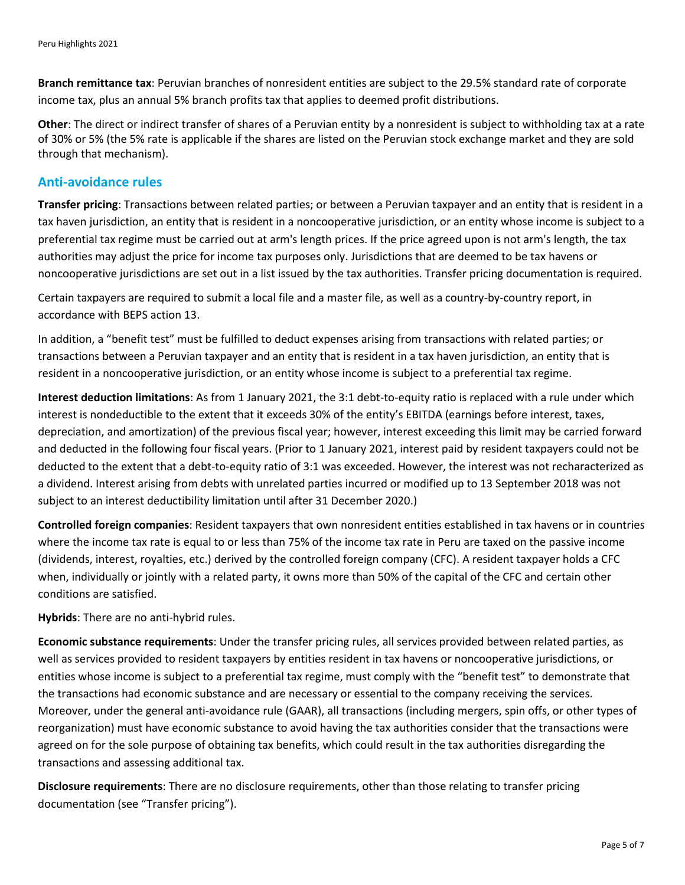**Branch remittance tax**: Peruvian branches of nonresident entities are subject to the 29.5% standard rate of corporate income tax, plus an annual 5% branch profits tax that applies to deemed profit distributions.

**Other**: The direct or indirect transfer of shares of a Peruvian entity by a nonresident is subject to withholding tax at a rate of 30% or 5% (the 5% rate is applicable if the shares are listed on the Peruvian stock exchange market and they are sold through that mechanism).

#### **Anti-avoidance rules**

**Transfer pricing**: Transactions between related parties; or between a Peruvian taxpayer and an entity that is resident in a tax haven jurisdiction, an entity that is resident in a noncooperative jurisdiction, or an entity whose income is subject to a preferential tax regime must be carried out at arm's length prices. If the price agreed upon is not arm's length, the tax authorities may adjust the price for income tax purposes only. Jurisdictions that are deemed to be tax havens or noncooperative jurisdictions are set out in a list issued by the tax authorities. Transfer pricing documentation is required.

Certain taxpayers are required to submit a local file and a master file, as well as a country-by-country report, in accordance with BEPS action 13.

In addition, a "benefit test" must be fulfilled to deduct expenses arising from transactions with related parties; or transactions between a Peruvian taxpayer and an entity that is resident in a tax haven jurisdiction, an entity that is resident in a noncooperative jurisdiction, or an entity whose income is subject to a preferential tax regime.

**Interest deduction limitations**: As from 1 January 2021, the 3:1 debt-to-equity ratio is replaced with a rule under which interest is nondeductible to the extent that it exceeds 30% of the entity's EBITDA (earnings before interest, taxes, depreciation, and amortization) of the previous fiscal year; however, interest exceeding this limit may be carried forward and deducted in the following four fiscal years. (Prior to 1 January 2021, interest paid by resident taxpayers could not be deducted to the extent that a debt-to-equity ratio of 3:1 was exceeded. However, the interest was not recharacterized as a dividend. Interest arising from debts with unrelated parties incurred or modified up to 13 September 2018 was not subject to an interest deductibility limitation until after 31 December 2020.)

**Controlled foreign companies**: Resident taxpayers that own nonresident entities established in tax havens or in countries where the income tax rate is equal to or less than 75% of the income tax rate in Peru are taxed on the passive income (dividends, interest, royalties, etc.) derived by the controlled foreign company (CFC). A resident taxpayer holds a CFC when, individually or jointly with a related party, it owns more than 50% of the capital of the CFC and certain other conditions are satisfied.

**Hybrids**: There are no anti-hybrid rules.

**Economic substance requirements**: Under the transfer pricing rules, all services provided between related parties, as well as services provided to resident taxpayers by entities resident in tax havens or noncooperative jurisdictions, or entities whose income is subject to a preferential tax regime, must comply with the "benefit test" to demonstrate that the transactions had economic substance and are necessary or essential to the company receiving the services. Moreover, under the general anti-avoidance rule (GAAR), all transactions (including mergers, spin offs, or other types of reorganization) must have economic substance to avoid having the tax authorities consider that the transactions were agreed on for the sole purpose of obtaining tax benefits, which could result in the tax authorities disregarding the transactions and assessing additional tax.

**Disclosure requirements**: There are no disclosure requirements, other than those relating to transfer pricing documentation (see "Transfer pricing").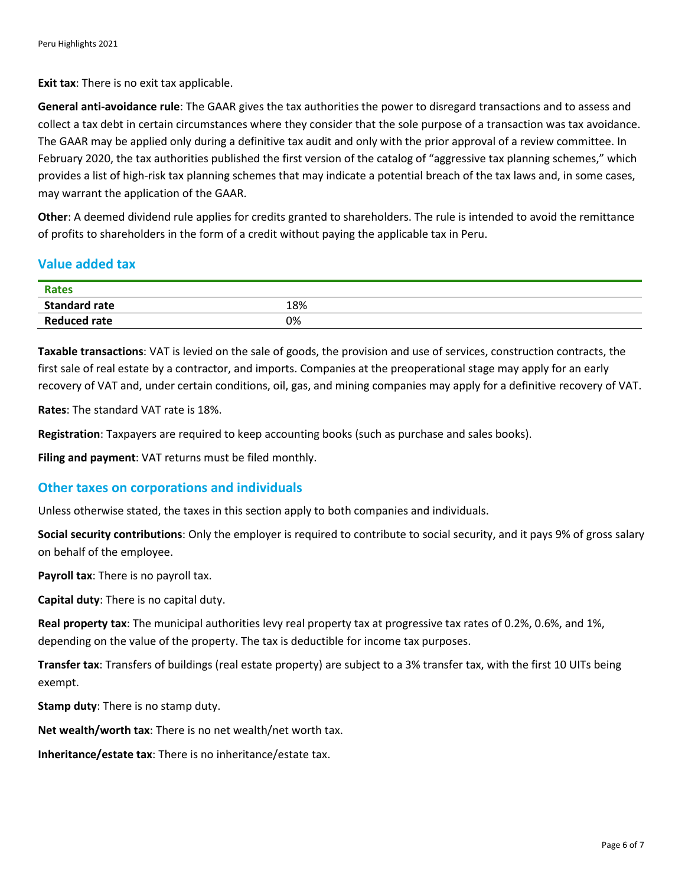**Exit tax:** There is no exit tax applicable.

**General anti-avoidance rule**: The GAAR gives the tax authorities the power to disregard transactions and to assess and collect a tax debt in certain circumstances where they consider that the sole purpose of a transaction was tax avoidance. The GAAR may be applied only during a definitive tax audit and only with the prior approval of a review committee. In February 2020, the tax authorities published the first version of the catalog of "aggressive tax planning schemes," which provides a list of high-risk tax planning schemes that may indicate a potential breach of the tax laws and, in some cases, may warrant the application of the GAAR.

**Other**: A deemed dividend rule applies for credits granted to shareholders. The rule is intended to avoid the remittance of profits to shareholders in the form of a credit without paying the applicable tax in Peru.

#### **Value added tax**

| <b>Rates</b>         |     |
|----------------------|-----|
| <b>Standard rate</b> | 18% |
| <b>Reduced rate</b>  | 0%  |

**Taxable transactions**: VAT is levied on the sale of goods, the provision and use of services, construction contracts, the first sale of real estate by a contractor, and imports. Companies at the preoperational stage may apply for an early recovery of VAT and, under certain conditions, oil, gas, and mining companies may apply for a definitive recovery of VAT.

**Rates**: The standard VAT rate is 18%.

**Registration**: Taxpayers are required to keep accounting books (such as purchase and sales books).

**Filing and payment**: VAT returns must be filed monthly.

#### **Other taxes on corporations and individuals**

Unless otherwise stated, the taxes in this section apply to both companies and individuals.

**Social security contributions**: Only the employer is required to contribute to social security, and it pays 9% of gross salary on behalf of the employee.

**Payroll tax**: There is no payroll tax.

**Capital duty**: There is no capital duty.

**Real property tax**: The municipal authorities levy real property tax at progressive tax rates of 0.2%, 0.6%, and 1%, depending on the value of the property. The tax is deductible for income tax purposes.

**Transfer tax**: Transfers of buildings (real estate property) are subject to a 3% transfer tax, with the first 10 UITs being exempt.

**Stamp duty**: There is no stamp duty.

**Net wealth/worth tax**: There is no net wealth/net worth tax.

**Inheritance/estate tax**: There is no inheritance/estate tax.